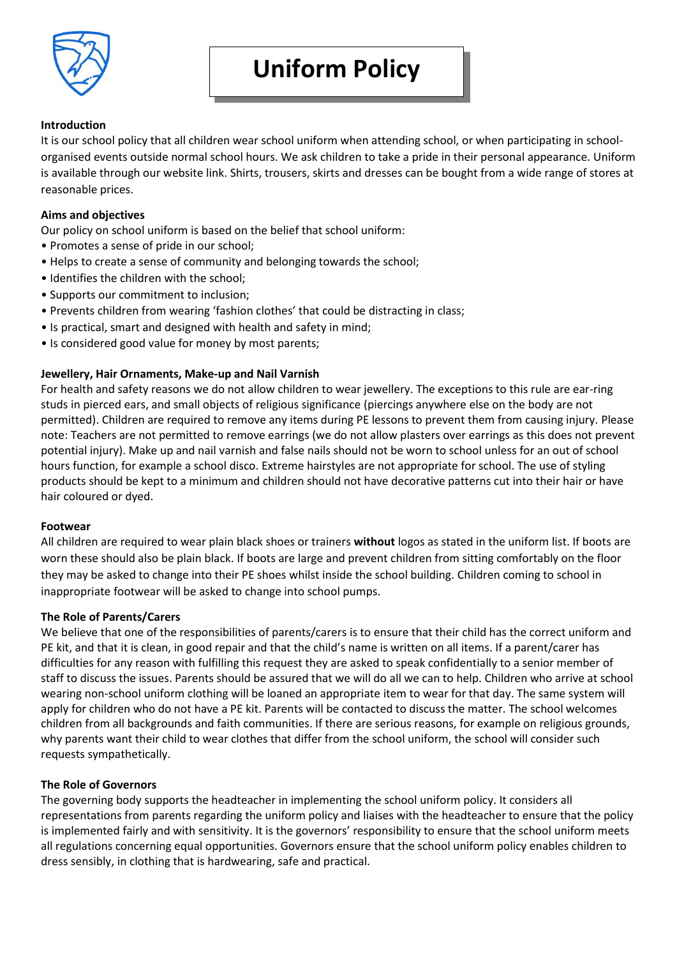

# **Introduction**

It is our school policy that all children wear school uniform when attending school, or when participating in schoolorganised events outside normal school hours. We ask children to take a pride in their personal appearance. Uniform is available through our website link. Shirts, trousers, skirts and dresses can be bought from a wide range of stores at reasonable prices.

# **Aims and objectives**

Our policy on school uniform is based on the belief that school uniform:

- Promotes a sense of pride in our school;
- Helps to create a sense of community and belonging towards the school;
- Identifies the children with the school;
- Supports our commitment to inclusion;
- Prevents children from wearing 'fashion clothes' that could be distracting in class;
- Is practical, smart and designed with health and safety in mind;
- Is considered good value for money by most parents;

# **Jewellery, Hair Ornaments, Make-up and Nail Varnish**

For health and safety reasons we do not allow children to wear jewellery. The exceptions to this rule are ear-ring studs in pierced ears, and small objects of religious significance (piercings anywhere else on the body are not permitted). Children are required to remove any items during PE lessons to prevent them from causing injury. Please note: Teachers are not permitted to remove earrings (we do not allow plasters over earrings as this does not prevent potential injury). Make up and nail varnish and false nails should not be worn to school unless for an out of school hours function, for example a school disco. Extreme hairstyles are not appropriate for school. The use of styling products should be kept to a minimum and children should not have decorative patterns cut into their hair or have hair coloured or dyed.

## **Footwear**

All children are required to wear plain black shoes or trainers **without** logos as stated in the uniform list. If boots are worn these should also be plain black. If boots are large and prevent children from sitting comfortably on the floor they may be asked to change into their PE shoes whilst inside the school building. Children coming to school in inappropriate footwear will be asked to change into school pumps.

## **The Role of Parents/Carers**

We believe that one of the responsibilities of parents/carers is to ensure that their child has the correct uniform and PE kit, and that it is clean, in good repair and that the child's name is written on all items. If a parent/carer has difficulties for any reason with fulfilling this request they are asked to speak confidentially to a senior member of staff to discuss the issues. Parents should be assured that we will do all we can to help. Children who arrive at school wearing non-school uniform clothing will be loaned an appropriate item to wear for that day. The same system will apply for children who do not have a PE kit. Parents will be contacted to discuss the matter. The school welcomes children from all backgrounds and faith communities. If there are serious reasons, for example on religious grounds, why parents want their child to wear clothes that differ from the school uniform, the school will consider such requests sympathetically.

## **The Role of Governors**

The governing body supports the headteacher in implementing the school uniform policy. It considers all representations from parents regarding the uniform policy and liaises with the headteacher to ensure that the policy is implemented fairly and with sensitivity. It is the governors' responsibility to ensure that the school uniform meets all regulations concerning equal opportunities. Governors ensure that the school uniform policy enables children to dress sensibly, in clothing that is hardwearing, safe and practical.